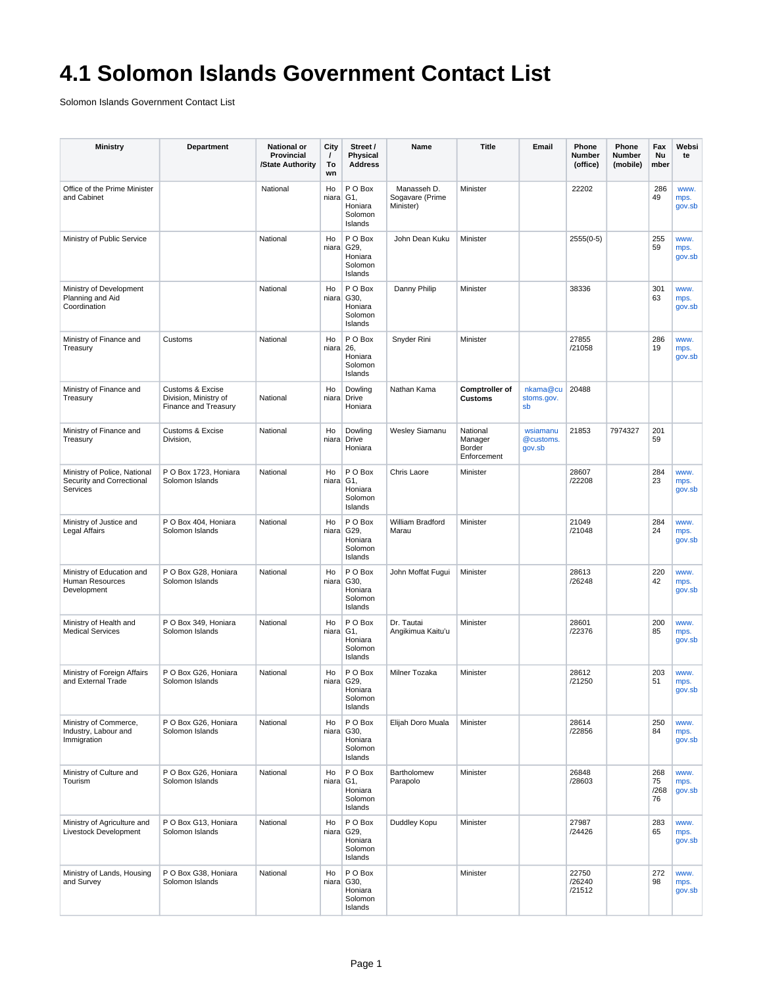## **4.1 Solomon Islands Government Contact List**

Solomon Islands Government Contact List

| <b>Ministry</b>                                                       | Department                                                                   | <b>National or</b><br>Provincial<br>/State Authority | City<br>$\prime$<br>To<br>wn | Street /<br>Physical<br><b>Address</b>                 | Name                                        | <b>Title</b>                                 | Email                           | Phone<br>Number<br>(office) | Phone<br>Number<br>(mobile) | Fax<br>Nu<br>mber       | Websi<br>te            |
|-----------------------------------------------------------------------|------------------------------------------------------------------------------|------------------------------------------------------|------------------------------|--------------------------------------------------------|---------------------------------------------|----------------------------------------------|---------------------------------|-----------------------------|-----------------------------|-------------------------|------------------------|
| Office of the Prime Minister<br>and Cabinet                           |                                                                              | National                                             | Ho<br>$niara$ G1,            | P O Box<br>Honiara<br>Solomon<br>Islands               | Manasseh D.<br>Sogavare (Prime<br>Minister) | Minister                                     |                                 | 22202                       |                             | 286<br>49               | www.<br>mps.<br>gov.sb |
| Ministry of Public Service                                            |                                                                              | National                                             | Ho<br>niara                  | P O Box<br>G29.<br>Honiara<br>Solomon<br>Islands       | John Dean Kuku                              | Minister                                     |                                 | $2555(0-5)$                 |                             | 255<br>59               | www.<br>mps.<br>gov.sb |
| Ministry of Development<br>Planning and Aid<br>Coordination           |                                                                              | National                                             | Ho<br>niara                  | P O Box<br>G30,<br>Honiara<br>Solomon<br>Islands       | Danny Philip                                | Minister                                     |                                 | 38336                       |                             | 301<br>63               | www.<br>mps.<br>gov.sb |
| Ministry of Finance and<br>Treasury                                   | Customs                                                                      | National                                             | Ho<br>$niara$ 26,            | P O Box<br>Honiara<br>Solomon<br>Islands               | Snyder Rini                                 | Minister                                     |                                 | 27855<br>/21058             |                             | 286<br>19               | www.<br>mps.<br>gov.sb |
| Ministry of Finance and<br>Treasury                                   | <b>Customs &amp; Excise</b><br>Division, Ministry of<br>Finance and Treasury | National                                             | Ho<br>niara                  | Dowling<br>Drive<br>Honiara                            | Nathan Kama                                 | <b>Comptroller of</b><br><b>Customs</b>      | nkama@cu<br>stoms.gov.<br>sb    | 20488                       |                             |                         |                        |
| Ministry of Finance and<br>Treasury                                   | <b>Customs &amp; Excise</b><br>Division,                                     | National                                             | Ho<br>niara                  | Dowling<br>Drive<br>Honiara                            | <b>Wesley Siamanu</b>                       | National<br>Manager<br>Border<br>Enforcement | wsiamanu<br>@customs.<br>gov.sb | 21853                       | 7974327                     | 201<br>59               |                        |
| Ministry of Police, National<br>Security and Correctional<br>Services | P O Box 1723, Honiara<br>Solomon Islands                                     | National                                             | Ho<br>niara G1.              | P O Box<br>Honiara<br>Solomon<br>Islands               | Chris Laore                                 | Minister                                     |                                 | 28607<br>/22208             |                             | 284<br>23               | www.<br>mps.<br>gov.sb |
| Ministry of Justice and<br>Legal Affairs                              | P O Box 404, Honiara<br>Solomon Islands                                      | National                                             | Ho                           | P O Box<br>niara G29.<br>Honiara<br>Solomon<br>Islands | William Bradford<br>Marau                   | Minister                                     |                                 | 21049<br>/21048             |                             | 284<br>24               | www.<br>mps.<br>gov.sb |
| Ministry of Education and<br>Human Resources<br>Development           | P O Box G28, Honiara<br>Solomon Islands                                      | National                                             | Ho<br>niara                  | P O Box<br>G30,<br>Honiara<br>Solomon<br>Islands       | John Moffat Fugui                           | Minister                                     |                                 | 28613<br>/26248             |                             | 220<br>42               | www.<br>mps.<br>gov.sb |
| Ministry of Health and<br><b>Medical Services</b>                     | P O Box 349. Honiara<br>Solomon Islands                                      | National                                             | Ho<br>niara G1,              | P O Box<br>Honiara<br>Solomon<br>Islands               | Dr. Tautai<br>Angikimua Kaitu'u             | Minister                                     |                                 | 28601<br>/22376             |                             | 200<br>85               | www.<br>mps.<br>gov.sb |
| Ministry of Foreign Affairs<br>and External Trade                     | P O Box G26. Honiara<br>Solomon Islands                                      | National                                             | Ho<br>niara                  | P O Box<br>G29.<br>Honiara<br>Solomon<br>Islands       | Milner Tozaka                               | Minister                                     |                                 | 28612<br>/21250             |                             | 203<br>51               | www.<br>mps.<br>gov.sb |
| Ministry of Commerce,<br>Industry, Labour and<br>Immigration          | P O Box G26, Honiara<br>Solomon Islands                                      | National                                             | Ho                           | P O Box<br>niara G30,<br>Honiara<br>Solomon<br>Islands | Elijah Doro Muala                           | Minister                                     |                                 | 28614<br>/22856             |                             | 250<br>84               | www.<br>mps.<br>gov.sb |
| Ministry of Culture and<br>Tourism                                    | P O Box G26, Honiara<br>Solomon Islands                                      | National                                             | Ho<br>$niara$ G1,            | P O Box<br>Honiara<br>Solomon<br>Islands               | Bartholomew<br>Parapolo                     | Minister                                     |                                 | 26848<br>/28603             |                             | 268<br>75<br>/268<br>76 | www.<br>mps.<br>gov.sb |
| Ministry of Agriculture and<br>Livestock Development                  | P O Box G13, Honiara<br>Solomon Islands                                      | National                                             | Ho                           | P O Box<br>niara G29,<br>Honiara<br>Solomon<br>Islands | Duddley Kopu                                | Minister                                     |                                 | 27987<br>/24426             |                             | 283<br>65               | www.<br>mps.<br>gov.sb |
| Ministry of Lands, Housing<br>and Survey                              | P O Box G38, Honiara<br>Solomon Islands                                      | National                                             | Ho                           | P O Box<br>niara G30,<br>Honiara<br>Solomon<br>Islands |                                             | Minister                                     |                                 | 22750<br>/26240<br>/21512   |                             | 272<br>98               | www.<br>mps.<br>gov.sb |